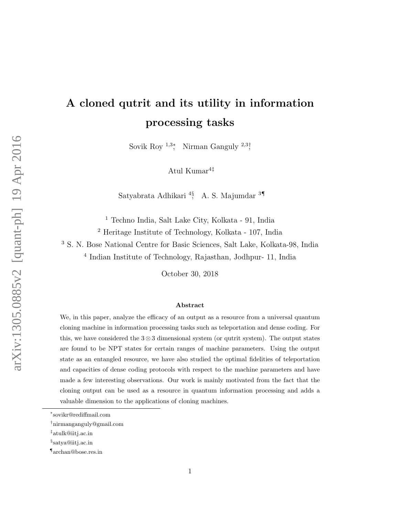# A cloned qutrit and its utility in information processing tasks

Sovik Roy<sup>1,3</sup><sup>\*</sup>, Nirman Ganguly<sup>2,3†</sup>

Atul Kumar $4^{\ddagger}$ 

Satyabrata Adhikari <sup>4§</sup>, A. S. Majumdar <sup>3¶</sup>

<sup>1</sup> Techno India, Salt Lake City, Kolkata - 91, India

<sup>2</sup> Heritage Institute of Technology, Kolkata - 107, India

<sup>3</sup> S. N. Bose National Centre for Basic Sciences, Salt Lake, Kolkata-98, India

4 Indian Institute of Technology, Rajasthan, Jodhpur- 11, India

October 30, 2018

#### Abstract

We, in this paper, analyze the efficacy of an output as a resource from a universal quantum cloning machine in information processing tasks such as teleportation and dense coding. For this, we have considered the  $3 \otimes 3$  dimensional system (or qutrit system). The output states are found to be NPT states for certain ranges of machine parameters. Using the output state as an entangled resource, we have also studied the optimal fidelities of teleportation and capacities of dense coding protocols with respect to the machine parameters and have made a few interesting observations. Our work is mainly motivated from the fact that the cloning output can be used as a resource in quantum information processing and adds a valuable dimension to the applications of cloning machines.

<sup>∗</sup> sovikr@rediffmail.com

<sup>†</sup>nirmanganguly@gmail.com

<sup>‡</sup> atulk@iitj.ac.in

<sup>§</sup> satya@iitj.ac.in

<sup>¶</sup> archan@bose.res.in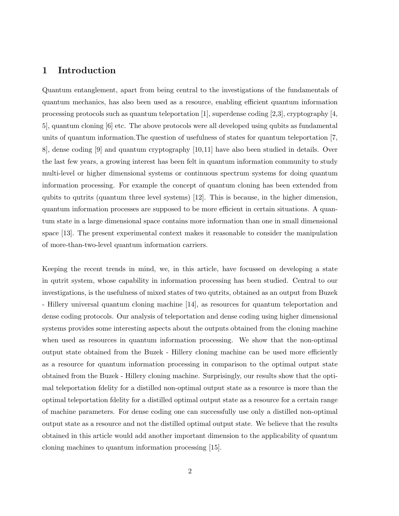#### 1 Introduction

Quantum entanglement, apart from being central to the investigations of the fundamentals of quantum mechanics, has also been used as a resource, enabling efficient quantum information processing protocols such as quantum teleportation [1], superdense coding [2,3], cryptography [4, 5], quantum cloning [6] etc. The above protocols were all developed using qubits as fundamental units of quantum information.The question of usefulness of states for quantum teleportation [7, 8], dense coding [9] and quantum cryptography [10,11] have also been studied in details. Over the last few years, a growing interest has been felt in quantum information community to study multi-level or higher dimensional systems or continuous spectrum systems for doing quantum information processing. For example the concept of quantum cloning has been extended from qubits to qutrits (quantum three level systems) [12]. This is because, in the higher dimension, quantum information processes are supposed to be more efficient in certain situations. A quantum state in a large dimensional space contains more information than one in small dimensional space [13]. The present experimental context makes it reasonable to consider the manipulation of more-than-two-level quantum information carriers.

Keeping the recent trends in mind, we, in this article, have focussed on developing a state in qutrit system, whose capability in information processing has been studied. Central to our investigations, is the usefulness of mixed states of two qutrits, obtained as an output from Buzek - Hillery universal quantum cloning machine [14], as resources for quantum teleportation and dense coding protocols. Our analysis of teleportation and dense coding using higher dimensional systems provides some interesting aspects about the outputs obtained from the cloning machine when used as resources in quantum information processing. We show that the non-optimal output state obtained from the Buzek - Hillery cloning machine can be used more efficiently as a resource for quantum information processing in comparison to the optimal output state obtained from the Buzek - Hillery cloning machine. Surprisingly, our results show that the optimal teleportation fdelity for a distilled non-optimal output state as a resource is more than the optimal teleportation fdelity for a distilled optimal output state as a resource for a certain range of machine parameters. For dense coding one can successfully use only a distilled non-optimal output state as a resource and not the distilled optimal output state. We believe that the results obtained in this article would add another important dimension to the applicability of quantum cloning machines to quantum information processing [15].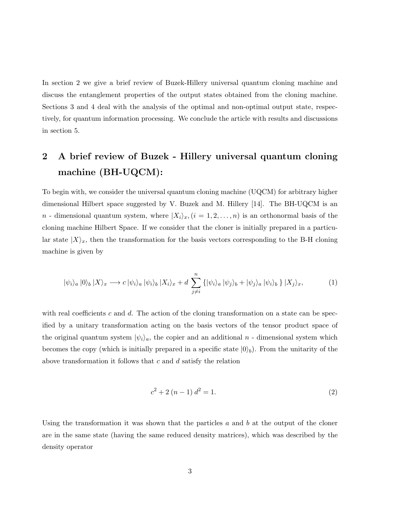In section 2 we give a brief review of Buzek-Hillery universal quantum cloning machine and discuss the entanglement properties of the output states obtained from the cloning machine. Sections 3 and 4 deal with the analysis of the optimal and non-optimal output state, respectively, for quantum information processing. We conclude the article with results and discussions in section 5.

## 2 A brief review of Buzek - Hillery universal quantum cloning machine (BH-UQCM):

To begin with, we consider the universal quantum cloning machine (UQCM) for arbitrary higher dimensional Hilbert space suggested by V. Buzek and M. Hillery [14]. The BH-UQCM is an n - dimensional quantum system, where  $|X_i\rangle_x$ ,  $(i = 1, 2, ..., n)$  is an orthonormal basis of the cloning machine Hilbert Space. If we consider that the cloner is initially prepared in a particular state  $|X\rangle_x$ , then the transformation for the basis vectors corresponding to the B-H cloning machine is given by

$$
|\psi_i\rangle_a |0\rangle_b |X\rangle_x \longrightarrow c |\psi_i\rangle_a |\psi_i\rangle_b |X_i\rangle_x + d \sum_{j \neq i}^n \{|\psi_i\rangle_a |\psi_j\rangle_b + |\psi_j\rangle_a |\psi_i\rangle_b \} |X_j\rangle_x, \tag{1}
$$

with real coefficients c and d. The action of the cloning transformation on a state can be specified by a unitary transformation acting on the basis vectors of the tensor product space of the original quantum system  $|\psi_i\rangle_a$ , the copier and an additional n - dimensional system which becomes the copy (which is initially prepared in a specific state  $|0\rangle_b$ ). From the unitarity of the above transformation it follows that  $c$  and  $d$  satisfy the relation

$$
c^2 + 2(n - 1) d^2 = 1.
$$
 (2)

Using the transformation it was shown that the particles  $a$  and  $b$  at the output of the cloner are in the same state (having the same reduced density matrices), which was described by the density operator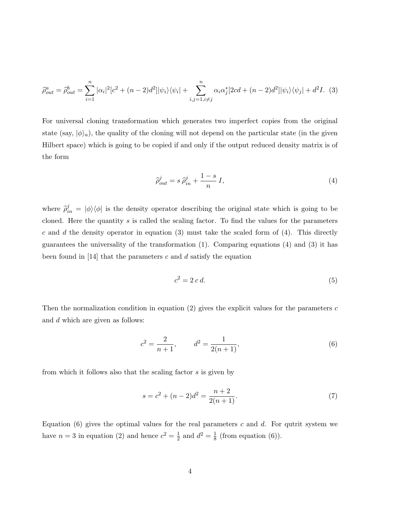$$
\hat{\rho}_{out}^a = \hat{\rho}_{out}^b = \sum_{i=1}^n |\alpha_i|^2 [c^2 + (n-2)d^2] |\psi_i\rangle\langle\psi_i| + \sum_{i,j=1, i \neq j}^n \alpha_i \alpha_j^* [2cd + (n-2)d^2] |\psi_i\rangle\langle\psi_j| + d^2 I. \tag{3}
$$

For universal cloning transformation which generates two imperfect copies from the original state (say,  $|\phi\rangle_a$ ), the quality of the cloning will not depend on the particular state (in the given Hilbert space) which is going to be copied if and only if the output reduced density matrix is of the form

$$
\widehat{\rho}_{out}^j = s \,\widehat{\rho}_{in}^j + \frac{1-s}{n} \, I,\tag{4}
$$

where  $\hat{\rho}_{in}^j = |\phi\rangle\langle\phi|$  is the density operator describing the original state which is going to be cloned. Here the quantity s is called the scaling factor. To find the values for the parameters c and d the density operator in equation  $(3)$  must take the scaled form of  $(4)$ . This directly guarantees the universality of the transformation  $(1)$ . Comparing equations  $(4)$  and  $(3)$  it has been found in [14] that the parameters c and d satisfy the equation

$$
c^2 = 2\,c\,d.\tag{5}
$$

Then the normalization condition in equation  $(2)$  gives the explicit values for the parameters c and d which are given as follows:

$$
c^2 = \frac{2}{n+1}, \qquad d^2 = \frac{1}{2(n+1)},\tag{6}
$$

from which it follows also that the scaling factor s is given by

$$
s = c2 + (n - 2)d2 = \frac{n+2}{2(n+1)}.
$$
 (7)

Equation  $(6)$  gives the optimal values for the real parameters c and d. For qutrit system we have  $n=3$  in equation (2) and hence  $c^2=\frac{1}{2}$  $rac{1}{2}$  and  $d^2 = \frac{1}{8}$  $\frac{1}{8}$  (from equation (6)).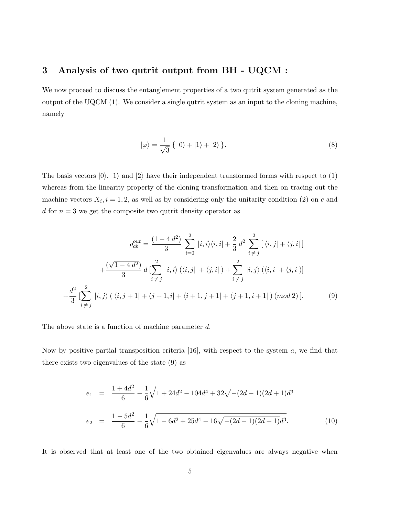#### 3 Analysis of two qutrit output from BH - UQCM :

We now proceed to discuss the entanglement properties of a two qutrit system generated as the output of the UQCM (1). We consider a single qutrit system as an input to the cloning machine, namely

$$
|\varphi\rangle = \frac{1}{\sqrt{3}} \{ |0\rangle + |1\rangle + |2\rangle \}.
$$
 (8)

The basis vectors  $|0\rangle$ ,  $|1\rangle$  and  $|2\rangle$  have their independent transformed forms with respect to (1) whereas from the linearity property of the cloning transformation and then on tracing out the machine vectors  $X_i$ ,  $i = 1, 2$ , as well as by considering only the unitarity condition (2) on c and d for  $n = 3$  we get the composite two qutrit density operator as

$$
\rho_{ab}^{out} = \frac{(1 - 4 d^2)}{3} \sum_{i=0}^{2} |i, i\rangle\langle i, i| + \frac{2}{3} d^2 \sum_{i \neq j}^{2} [\langle i, j | + \langle j, i |]
$$

$$
+ \frac{(\sqrt{1 - 4 d^2})}{3} d \left[ \sum_{i \neq j}^{2} |i, i \rangle (\langle i, j | + \langle j, i |) + \sum_{i \neq j}^{2} |i, j \rangle (\langle i, i | + \langle j, i |) \right]
$$

$$
+ \frac{d^2}{3} \left[ \sum_{i \neq j}^{2} |i, j \rangle (\langle i, j + 1 | + \langle j + 1, i | + \langle i + 1, j + 1 | + \langle j + 1, i + 1 |) (mod 2) \right].
$$
 (9)

The above state is a function of machine parameter d.

Now by positive partial transposition criteria  $[16]$ , with respect to the system  $a$ , we find that there exists two eigenvalues of the state (9) as

$$
e_1 = \frac{1+4d^2}{6} - \frac{1}{6}\sqrt{1+24d^2 - 104d^4 + 32\sqrt{-(2d-1)(2d+1)}d^3}
$$
  
\n
$$
e_2 = \frac{1-5d^2}{6} - \frac{1}{6}\sqrt{1-6d^2 + 25d^4 - 16\sqrt{-(2d-1)(2d+1)}d^3}.
$$
\n(10)

It is observed that at least one of the two obtained eigenvalues are always negative when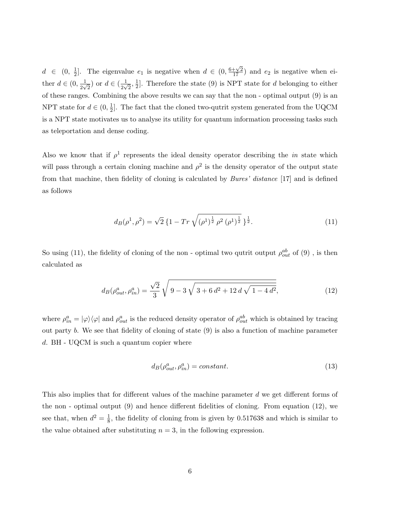$d \in (0, \frac{1}{2})$  $\frac{1}{2}$ . The eigenvalue  $e_1$  is negative when  $d \in (0, \frac{6+\sqrt{2}}{17})$  and  $e_2$  is negative when either  $d \in (0, \frac{1}{2v})$  $\frac{1}{2\sqrt{2}}$ ) or  $d \in (\frac{1}{2\sqrt{2}})$  $\frac{1}{2\sqrt{2}}, \frac{1}{2}$  $\frac{1}{2}$ . Therefore the state (9) is NPT state for d belonging to either of these ranges. Combining the above results we can say that the non - optimal output (9) is an NPT state for  $d \in (0, \frac{1}{2})$  $\frac{1}{2}$ . The fact that the cloned two-qutrit system generated from the UQCM is a NPT state motivates us to analyse its utility for quantum information processing tasks such as teleportation and dense coding.

Also we know that if  $\rho^1$  represents the ideal density operator describing the *in* state which will pass through a certain cloning machine and  $\rho^2$  is the density operator of the output state from that machine, then fidelity of cloning is calculated by *Bures' distance* [17] and is defined as follows

$$
d_B(\rho^1, \rho^2) = \sqrt{2} \left\{ 1 - \operatorname{Tr} \sqrt{(\rho^1)^{\frac{1}{2}}} \rho^2 (\rho^1)^{\frac{1}{2}} \right\}^{\frac{1}{2}}.
$$
 (11)

So using (11), the fidelity of cloning of the non - optimal two qutrit output  $\rho_{out}^{ab}$  of (9), is then calculated as

$$
d_B(\rho_{out}^a, \rho_{in}^a) = \frac{\sqrt{2}}{3} \sqrt{9 - 3\sqrt{3 + 6d^2 + 12d\sqrt{1 - 4d^2}}},\tag{12}
$$

where  $\rho_{in}^a = |\varphi\rangle\langle\varphi|$  and  $\rho_{out}^a$  is the reduced density operator of  $\rho_{out}^{ab}$  which is obtained by tracing out party b. We see that fidelity of cloning of state (9) is also a function of machine parameter d. BH - UQCM is such a quantum copier where

$$
d_B(\rho_{out}^a, \rho_{in}^a) = constant.
$$
\n<sup>(13)</sup>

This also implies that for different values of the machine parameter d we get different forms of the non - optimal output (9) and hence different fidelities of cloning. From equation (12), we see that, when  $d^2 = \frac{1}{8}$  $\frac{1}{8}$ , the fidelity of cloning from is given by 0.517638 and which is similar to the value obtained after substituting  $n = 3$ , in the following expression.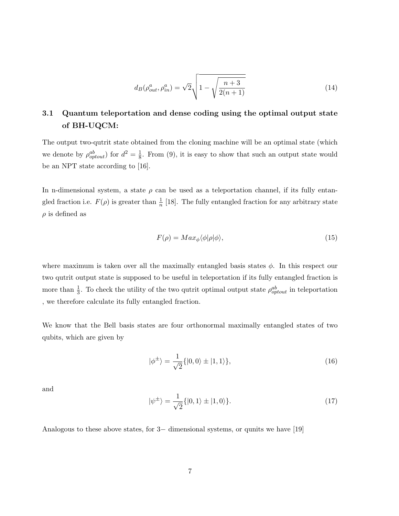$$
d_B(\rho_{out}^a, \rho_{in}^a) = \sqrt{2} \sqrt{1 - \sqrt{\frac{n+3}{2(n+1)}}}
$$
\n(14)

## 3.1 Quantum teleportation and dense coding using the optimal output state of BH-UQCM:

The output two-qutrit state obtained from the cloning machine will be an optimal state (which we denote by  $\rho_{optout}^{ab}$  for  $d^2 = \frac{1}{8}$  $\frac{1}{8}$ . From (9), it is easy to show that such an output state would be an NPT state according to [16].

In n-dimensional system, a state  $\rho$  can be used as a teleportation channel, if its fully entangled fraction i.e.  $F(\rho)$  is greater than  $\frac{1}{n}$  [18]. The fully entangled fraction for any arbitrary state  $\rho$  is defined as

$$
F(\rho) = Max_{\phi} \langle \phi | \rho | \phi \rangle,
$$
\n(15)

where maximum is taken over all the maximally entangled basis states  $\phi$ . In this respect our two qutrit output state is supposed to be useful in teleportation if its fully entangled fraction is more than  $\frac{1}{3}$ . To check the utility of the two qutrit optimal output state  $\rho_{optout}^{ab}$  in teleportation , we therefore calculate its fully entangled fraction.

We know that the Bell basis states are four orthonormal maximally entangled states of two qubits, which are given by

$$
|\phi^{\pm}\rangle = \frac{1}{\sqrt{2}}\{|0,0\rangle \pm |1,1\rangle\},\tag{16}
$$

and

$$
|\psi^{\pm}\rangle = \frac{1}{\sqrt{2}}\{|0,1\rangle \pm |1,0\rangle\}.
$$
 (17)

Analogous to these above states, for 3− dimensional systems, or qunits we have [19]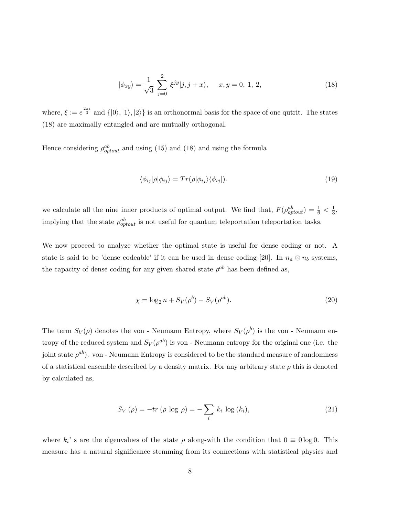$$
|\phi_{xy}\rangle = \frac{1}{\sqrt{3}} \sum_{j=0}^{2} \xi^{jy} |j, j+x\rangle, \quad x, y = 0, 1, 2,
$$
 (18)

where,  $\xi := e^{\frac{2\pi i}{3}}$  and  $\{|0\rangle, |1\rangle, |2\rangle\}$  is an orthonormal basis for the space of one qutrit. The states (18) are maximally entangled and are mutually orthogonal.

Hence considering  $\rho_{optout}^{ab}$  and using (15) and (18) and using the formula

$$
\langle \phi_{ij} | \rho | \phi_{ij} \rangle = Tr(\rho | \phi_{ij} \rangle \langle \phi_{ij} |). \tag{19}
$$

we calculate all the nine inner products of optimal output. We find that,  $F(\rho_{optout}^{ab}) = \frac{1}{6} < \frac{1}{3}$  $\frac{1}{3}$ , implying that the state  $\rho_{optout}^{ab}$  is not useful for quantum teleportation teleportation tasks.

We now proceed to analyze whether the optimal state is useful for dense coding or not. A state is said to be 'dense codeable' if it can be used in dense coding [20]. In  $n_a \otimes n_b$  systems, the capacity of dense coding for any given shared state  $\rho^{ab}$  has been defined as,

$$
\chi = \log_2 n + S_V(\rho^b) - S_V(\rho^{ab}).
$$
\n(20)

The term  $S_V(\rho)$  denotes the von - Neumann Entropy, where  $S_V(\rho^b)$  is the von - Neumann entropy of the reduced system and  $S_V(\rho^{ab})$  is von - Neumann entropy for the original one (i.e. the joint state  $\rho^{ab}$ ). von - Neumann Entropy is considered to be the standard measure of randomness of a statistical ensemble described by a density matrix. For any arbitrary state  $\rho$  this is denoted by calculated as,

$$
S_V(\rho) = -tr(\rho \log \rho) = -\sum_i k_i \log (k_i), \qquad (21)
$$

where  $k_i$ ' s are the eigenvalues of the state  $\rho$  along-with the condition that  $0 \equiv 0 \log 0$ . This measure has a natural significance stemming from its connections with statistical physics and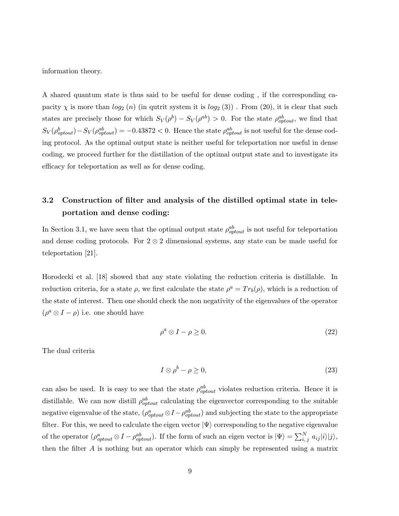information theory.

A shared quantum state is thus said to be useful for dense coding , if the corresponding capacity  $\chi$  is more than  $log_2(n)$  (in qutrit system it is  $log_2(3)$ ). From (20), it is clear that such states are precisely those for which  $S_V(\rho^{b}) - S_V(\rho^{ab}) > 0$ . For the state  $\rho^{ab}_{optout}$ , we find that  $S_V(\rho_{optout}^b) - S_V(\rho_{optout}^{ab}) = -0.43872 < 0.$  Hence the state  $\rho_{optout}^{ab}$  is not useful for the dense coding protocol. As the optimal output state is neither useful for teleportation nor useful in dense coding, we proceed further for the distillation of the optimal output state and to investigate its efficacy for teleportation as well as for dense coding.

## 3.2 Construction of filter and analysis of the distilled optimal state in teleportation and dense coding:

In Section 3.1, we have seen that the optimal output state  $\rho_{optout}^{ab}$  is not useful for teleportation and dense coding protocols. For  $2 \otimes 2$  dimensional systems, any state can be made useful for teleportation [21].

Horodecki et al. [18] showed that any state violating the reduction criteria is distillable. In reduction criteria, for a state  $\rho$ , we first calculate the state  $\rho^a = Tr_b(\rho)$ , which is a reduction of the state of interest. Then one should check the non negativity of the eigenvalues of the operator  $(\rho^a \otimes I - \rho)$  i.e. one should have

$$
\rho^a \otimes I - \rho \ge 0. \tag{22}
$$

The dual criteria

$$
I \otimes \rho^b - \rho \ge 0,\tag{23}
$$

can also be used. It is easy to see that the state  $\rho_{optout}^{ab}$  violates reduction criteria. Hence it is distillable. We can now distill  $\rho_{optout}^{ab}$  calculating the eigenvector corresponding to the suitable negative eigenvalue of the state,  $(\rho_{optout}^a \otimes I - \rho_{optout}^{ab})$  and subjecting the state to the appropriate filter. For this, we need to calculate the eigen vector  $|\Psi\rangle$  corresponding to the negative eigenvalue of the operator  $(\rho^a_{optout} \otimes I - \rho^{ab}_{optout})$ . If the form of such an eigen vector is  $|\Psi\rangle = \sum_{i,j}^{N} a_{ij} |i\rangle |j\rangle$ , then the filter A is nothing but an operator which can simply be represented using a matrix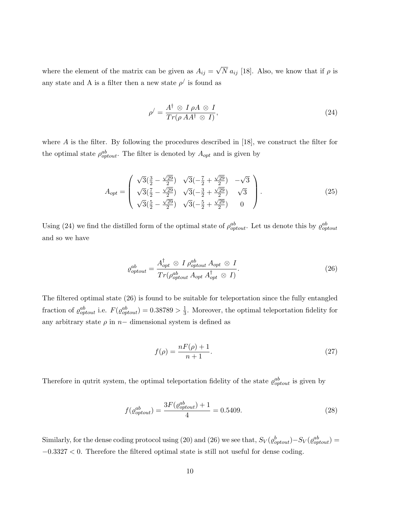where the element of the matrix can be given as  $A_{ij} = \sqrt{N} a_{ij}$  [18]. Also, we know that if  $\rho$  is any state and A is a filter then a new state  $\rho'$  is found as

$$
\rho' = \frac{A^{\dagger} \otimes I \rho A \otimes I}{Tr(\rho A A^{\dagger} \otimes I)},\tag{24}
$$

where A is the filter. By following the procedures described in [18], we construct the filter for the optimal state  $\rho_{optout}^{ab}$ . The filter is denoted by  $A_{opt}$  and is given by

$$
A_{opt} = \begin{pmatrix} \sqrt{3}(\frac{3}{2} - \frac{\sqrt{29}}{2}) & \sqrt{3}(-\frac{7}{2} + \frac{\sqrt{29}}{2}) & -\sqrt{3} \\ \sqrt{3}(\frac{7}{2} - \frac{\sqrt{29}}{2}) & \sqrt{3}(-\frac{3}{2} + \frac{\sqrt{29}}{2}) & \sqrt{3} \\ \sqrt{3}(\frac{5}{2} - \frac{\sqrt{29}}{2}) & \sqrt{3}(-\frac{5}{2} + \frac{\sqrt{29}}{2}) & 0 \end{pmatrix}.
$$
 (25)

Using (24) we find the distilled form of the optimal state of  $\rho_{optout}^{ab}$ . Let us denote this by  $\varrho_{optout}^{ab}$ and so we have

$$
\varrho_{optout}^{ab} = \frac{A_{opt}^{\dagger} \otimes I \, \rho_{optout}^{ab} \, A_{opt} \otimes I}{Tr(\rho_{optout}^{ab} \, A_{opt} \, A_{opt}^{\dagger} \otimes I)}.
$$
\n(26)

The filtered optimal state (26) is found to be suitable for teleportation since the fully entangled fraction of  $\varrho_{optout}^{ab}$  i.e.  $F(\varrho_{optout}^{ab}) = 0.38789 > \frac{1}{3}$  $\frac{1}{3}$ . Moreover, the optimal teleportation fidelity for any arbitrary state  $\rho$  in  $n-$  dimensional system is defined as

$$
f(\rho) = \frac{nF(\rho) + 1}{n + 1}.
$$
\n(27)

Therefore in qutrit system, the optimal teleportation fidelity of the state  $\rho_{optout}^{ab}$  is given by

$$
f(\varrho_{optout}^{ab}) = \frac{3F(\varrho_{optout}^{ab}) + 1}{4} = 0.5409.
$$
 (28)

Similarly, for the dense coding protocol using (20) and (26) we see that,  $S_V(\rho_{optout}^b) - S_V(\rho_{optout}^{ab}) =$ −0.3327 < 0. Therefore the filtered optimal state is still not useful for dense coding.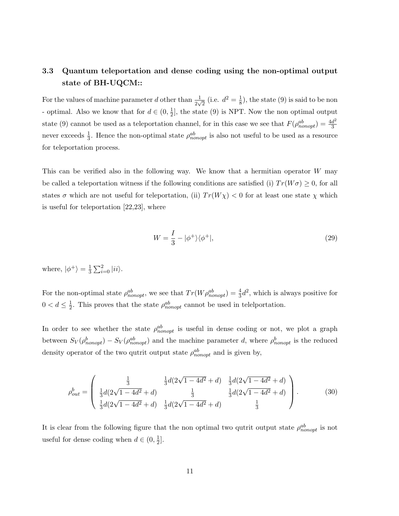### 3.3 Quantum teleportation and dense coding using the non-optimal output state of BH-UQCM::

For the values of machine parameter d other than  $\frac{1}{2\sqrt{2}}$  (i.e.  $d^2 = \frac{1}{8}$ )  $\frac{1}{8}$ ), the state (9) is said to be non - optimal. Also we know that for  $d \in (0, \frac{1}{2})$  $\frac{1}{2}$ , the state (9) is NPT. Now the non optimal output state (9) cannot be used as a teleportation channel, for in this case we see that  $F(\rho_{nonopt}^{ab}) = \frac{4d^2}{3}$ 3 never exceeds  $\frac{1}{3}$ . Hence the non-optimal state  $\rho_{nonopt}^{ab}$  is also not useful to be used as a resource for teleportation process.

This can be verified also in the following way. We know that a hermitian operator W may be called a teleportation witness if the following conditions are satisfied (i)  $Tr(W\sigma) \geq 0$ , for all states  $\sigma$  which are not useful for teleportation, (ii)  $Tr(W \chi) < 0$  for at least one state  $\chi$  which is useful for teleportation [22,23], where

$$
W = \frac{I}{3} - |\phi^+\rangle\langle\phi^+|,\tag{29}
$$

where,  $|\phi^+\rangle = \frac{1}{3}$  $\frac{1}{3}\sum_{i=0}^{2}|ii\rangle.$ 

For the non-optimal state  $\rho_{nonopt}^{ab}$ , we see that  $Tr(W\rho_{nonopt}^{ab}) = \frac{4}{3}d^2$ , which is always positive for  $0 < d \leq \frac{1}{2}$  $\frac{1}{2}$ . This proves that the state  $\rho_{nonopt}^{ab}$  cannot be used in telesportation.

In order to see whether the state  $\rho_{nonopt}^{ab}$  is useful in dense coding or not, we plot a graph between  $S_V(\rho_{nonopt}^b) - S_V(\rho_{nonopt}^{ab})$  and the machine parameter d, where  $\rho_{nonopt}^b$  is the reduced density operator of the two qutrit output state  $\rho_{nonopt}^{ab}$  and is given by,

$$
\rho_{out}^b = \begin{pmatrix} \frac{1}{3} & \frac{1}{3}d(2\sqrt{1 - 4d^2} + d) & \frac{1}{3}d(2\sqrt{1 - 4d^2} + d) \\ \frac{1}{3}d(2\sqrt{1 - 4d^2} + d) & \frac{1}{3} & \frac{1}{3}d(2\sqrt{1 - 4d^2} + d) \\ \frac{1}{3}d(2\sqrt{1 - 4d^2} + d) & \frac{1}{3}d(2\sqrt{1 - 4d^2} + d) & \frac{1}{3} \end{pmatrix}.
$$
 (30)

It is clear from the following figure that the non optimal two qutrit output state  $\rho_{nonopt}^{ab}$  is not useful for dense coding when  $d\in(0,\frac{1}{2})$  $\frac{1}{2}$ .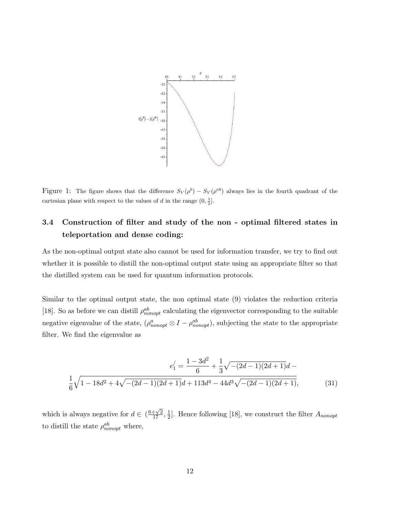

Figure 1: The figure shows that the difference  $S_V(\rho^b) - S_V(\rho^{ab})$  always lies in the fourth quadrant of the cartesian plane with respect to the values of d in the range  $(0, \frac{1}{2}]$ .

### 3.4 Construction of filter and study of the non - optimal filtered states in teleportation and dense coding:

As the non-optimal output state also cannot be used for information transfer, we try to find out whether it is possible to distill the non-optimal output state using an appropriate filter so that the distilled system can be used for quantum information protocols.

Similar to the optimal output state, the non optimal state (9) violates the reduction criteria [18]. So as before we can distill  $\rho_{nonopt}^{ab}$  calculating the eigenvector corresponding to the suitable negative eigenvalue of the state,  $(\rho_{nonopt}^a \otimes I - \rho_{nonopt}^{ab})$ , subjecting the state to the appropriate filter. We find the eigenvalue as

$$
e_1' = \frac{1 - 3d^2}{6} + \frac{1}{3}\sqrt{-(2d - 1)(2d + 1)}d - \frac{1}{6}\sqrt{1 - 18d^2 + 4\sqrt{-(2d - 1)(2d + 1)}d + 113d^4 - 44d^3\sqrt{-(2d - 1)(2d + 1)}},
$$
(31)

which is always negative for  $d \in \left(\frac{6+\sqrt{2}}{17}, \frac{1}{2}\right)$  $\frac{1}{2}$ . Hence following [18], we construct the filter  $A_{nonopt}$ to distill the state  $\rho_{nonopt}^{ab}$  where,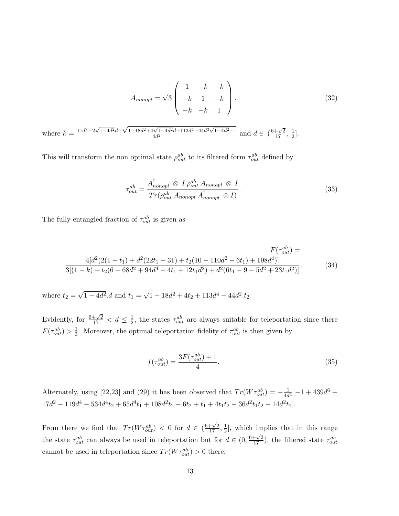$$
A_{nonopt} = \sqrt{3} \begin{pmatrix} 1 & -k & -k \\ -k & 1 & -k \\ -k & -k & 1 \end{pmatrix}.
$$
 (32)  
where  $k = \frac{11d^2 - 2\sqrt{1 - 4d^2}d + \sqrt{1 - 18d^2 + 4\sqrt{1 - 4d^2}d + 113d^4 - 44d^3\sqrt{1 - 4d^2} - 1}}{4d^2}$  and  $d \in (\frac{6 + \sqrt{2}}{17}, \frac{1}{2}].$ 

This will transform the non optimal state  $\rho_{out}^{ab}$  to its filtered form  $\tau_{out}^{ab}$  defined by

$$
\tau_{out}^{ab} = \frac{A_{nonopt}^{\dagger} \otimes I \rho_{out}^{ab} A_{nonopt} \otimes I}{Tr(\rho_{out}^{ab} A_{nonopt} A_{nonopt}^{\dagger} \otimes I)}.
$$
\n(33)

The fully entangled fraction of  $\tau_{out}^{ab}$  is given as

$$
F(\tau_{out}^{ab}) =
$$
  
\n
$$
\frac{4[d^{2}(2(1-t_{1}) + d^{2}(22t_{1} - 31) + t_{2}(10 - 110d^{2} - 6t_{1}) + 198d^{4})]}{3[(1-k) + t_{2}(6 - 68d^{2} + 94d^{4} - 4t_{1} + 12t_{1}d^{2}) + d^{2}(6t_{1} - 9 - 5d^{2} + 23t_{1}d^{2})]},
$$
\n(34)

where  $t_2 = \sqrt{1 - 4d^2}d$  and  $t_1 = \sqrt{1 - 18d^2 + 4t_2 + 113d^4 - 44d^2}t_2$ 

Evidently, for  $\frac{6+\sqrt{2}}{17} < d \leq \frac{1}{2}$  $\frac{1}{2}$ , the states  $\tau_{out}^{ab}$  are always suitable for teleportation since there  $F(\tau_{out}^{ab}) > \frac{1}{3}$  $\frac{1}{3}$ . Moreover, the optimal teleportation fidelity of  $\tau_{out}^{ab}$  is then given by

$$
f(\tau_{out}^{ab}) = \frac{3F(\tau_{out}^{ab}) + 1}{4}.
$$
\n(35)

Alternately, using [22,23] and (29) it has been observed that  $Tr(W\tau_{out}^{ab}) = -\frac{1}{4d}$  $\frac{1}{4d^4}[-1+439d^6+$  $17d^2 - 119d^4 - 534d^4t_2 + 65d^4t_1 + 108d^2t_2 - 6t_2 + t_1 + 4t_1t_2 - 36d^2t_1t_2 - 14d^2t_1$ .

From there we find that  $Tr(W\tau_{out}^{ab})$   $\lt$  0 for  $d \in \left(\frac{6+\sqrt{2}}{17}, \frac{1}{2}\right)$  $\frac{1}{2}$ , which implies that in this range the state  $\tau_{out}^{ab}$  can always be used in teleportation but for  $d \in (0, \frac{6+\sqrt{2}}{17})$ , the filtered state  $\tau_{out}^{ab}$ cannot be used in teleportation since  $Tr(W\tau_{out}^{ab}) > 0$  there.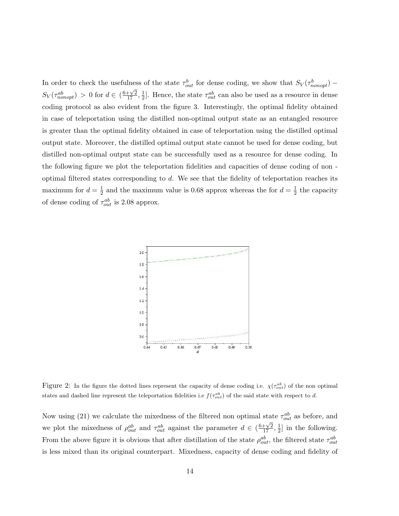In order to check the usefulness of the state  $\tau_{out}^b$  for dense coding, we show that  $S_V(\tau_{nonopt}^b)$  –  $S_V(\tau^{ab}_{nonopt}) > 0$  for  $d \in (\frac{6+\sqrt{2}}{17}, \frac{1}{2})$  $\frac{1}{2}$ . Hence, the state  $\tau_{out}^{ab}$  can also be used as a resource in dense coding protocol as also evident from the figure 3. Interestingly, the optimal fidelity obtained in case of teleportation using the distilled non-optimal output state as an entangled resource is greater than the optimal fidelity obtained in case of teleportation using the distilled optimal output state. Moreover, the distilled optimal output state cannot be used for dense coding, but distilled non-optimal output state can be successfully used as a resource for dense coding. In the following figure we plot the teleportation fidelities and capacities of dense coding of non optimal filtered states corresponding to d. We see that the fidelity of teleportation reaches its maximum for  $d=\frac{1}{2}$  $\frac{1}{2}$  and the maximum value is 0.68 approx whereas the for  $d = \frac{1}{2}$  $\frac{1}{2}$  the capacity of dense coding of  $\tau_{out}^{ab}$  is 2.08 approx.



Figure 2: In the figure the dotted lines represent the capacity of dense coding i.e.  $\chi(\tau_{out}^{ab})$  of the non optimal states and dashed line represent the teleportation fidelities i.e  $f(\tau_{out}^{ab})$  of the said state with respect to d.

Now using (21) we calculate the mixedness of the filtered non optimal state  $\tau_{out}^{ab}$  as before, and we plot the mixedness of  $\rho_{out}^{ab}$  and  $\tau_{out}^{ab}$  against the parameter  $d \in (\frac{6+\sqrt{2}}{17}, \frac{1}{2})$  $\frac{1}{2}$  in the following. From the above figure it is obvious that after distillation of the state  $\rho_{out}^{ab}$ , the filtered state  $\tau_{out}^{ab}$ is less mixed than its original counterpart. Mixedness, capacity of dense coding and fidelity of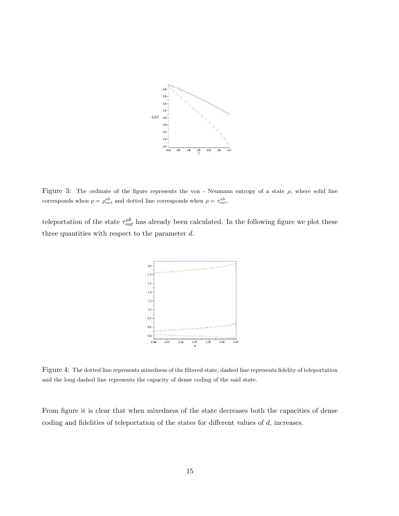

Figure 3: The ordinate of the figure represents the von - Neumann entropy of a state  $\rho$ , where solid line corresponds when  $\rho = \rho_{out}^{ab}$  and dotted line corresponds when  $\rho = \tau_{out}^{ab}$ .

teleportation of the state  $\tau_{out}^{ab}$  has already been calculated. In the following figure we plot these three quantities with respect to the parameter  $d$ .



Figure 4: The dotted line represents mixedness of the filtered state, dashed line represents fidelity of teleportation and the long dashed line represents the capacity of dense coding of the said state.

From figure it is clear that when mixedness of the state decreases both the capacities of dense coding and fidelities of teleportation of the states for different values of d, increases.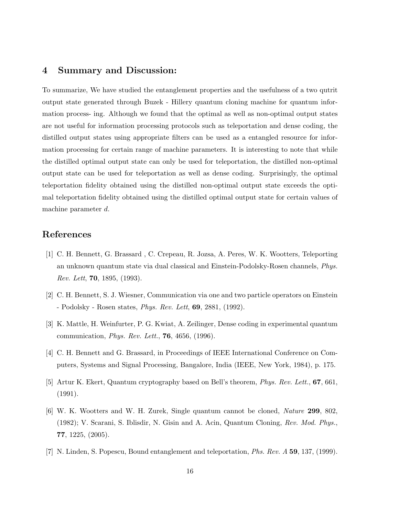#### 4 Summary and Discussion:

To summarize, We have studied the entanglement properties and the usefulness of a two qutrit output state generated through Buzek - Hillery quantum cloning machine for quantum information process- ing. Although we found that the optimal as well as non-optimal output states are not useful for information processing protocols such as teleportation and dense coding, the distilled output states using appropriate filters can be used as a entangled resource for information processing for certain range of machine parameters. It is interesting to note that while the distilled optimal output state can only be used for teleportation, the distilled non-optimal output state can be used for teleportation as well as dense coding. Surprisingly, the optimal teleportation fidelity obtained using the distilled non-optimal output state exceeds the optimal teleportation fidelity obtained using the distilled optimal output state for certain values of machine parameter d.

#### References

- [1] C. H. Bennett, G. Brassard , C. Crepeau, R. Jozsa, A. Peres, W. K. Wootters, Teleporting an unknown quantum state via dual classical and Einstein-Podolsky-Rosen channels, *Phys. Rev. Lett*, 70, 1895, (1993).
- [2] C. H. Bennett, S. J. Wiesner, Communication via one and two particle operators on Einstein - Podolsky - Rosen states, *Phys. Rev. Lett*, 69, 2881, (1992).
- [3] K. Mattle, H. Weinfurter, P. G. Kwiat, A. Zeilinger, Dense coding in experimental quantum communication, *Phys. Rev. Lett.*, 76, 4656, (1996).
- [4] C. H. Bennett and G. Brassard, in Proceedings of IEEE International Conference on Computers, Systems and Signal Processing, Bangalore, India (IEEE, New York, 1984), p. 175.
- [5] Artur K. Ekert, Quantum cryptography based on Bell's theorem, *Phys. Rev. Lett.*, 67, 661, (1991).
- [6] W. K. Wootters and W. H. Zurek, Single quantum cannot be cloned, *Nature* 299, 802, (1982); V. Scarani, S. Iblisdir, N. Gisin and A. Acin, Quantum Cloning, *Rev. Mod. Phys.*, 77, 1225, (2005).
- [7] N. Linden, S. Popescu, Bound entanglement and teleportation, *Phs. Rev. A* 59, 137, (1999).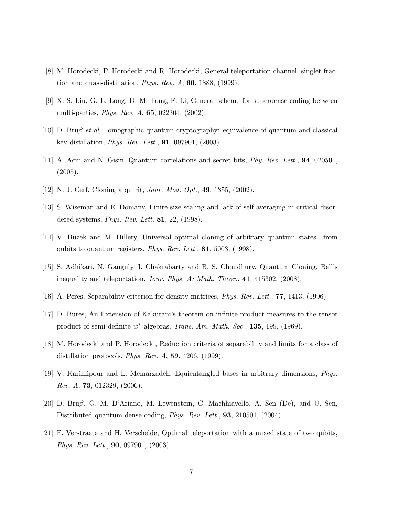- [8] M. Horodecki, P. Horodecki and R. Horodecki, General teleportation channel, singlet fraction and quasi-distillation, *Phys. Rev. A*, 60, 1888, (1999).
- [9] X. S. Liu, G. L. Long, D. M. Tong, F. Li, General scheme for superdense coding between multi-parties, *Phys. Rev. A*, 65, 022304, (2002).
- [10] D. Bruβ *et al*, Tomographic quantum cryptography: equivalence of quantum and classical key distillation, *Phys. Rev. Lett.*, 91, 097901, (2003).
- [11] A. Acin and N. Gisin, Quantum correlations and secret bits, *Phy. Rev. Lett.*, 94, 020501, (2005).
- [12] N. J. Cerf, Cloning a qutrit, *Jour. Mod. Opt.*, 49, 1355, (2002).
- [13] S. Wiseman and E. Domany, Finite size scaling and lack of self averaging in critical disordered systems, *Phys. Rev. Lett.* 81, 22, (1998).
- [14] V. Buzek and M. Hillery, Universal optimal cloning of arbitrary quantum states: from qubits to quantum registers, *Phys. Rev. Lett.*, 81, 5003, (1998).
- [15] S. Adhikari, N. Ganguly, I. Chakrabarty and B. S. Choudhury, Quantum Cloning, Bell's inequality and teleportation, *Jour. Phys. A: Math. Theor.*, 41, 415302, (2008).
- [16] A. Peres, Separability criterion for density matrices, *Phys. Rev. Lett.*, 77, 1413, (1996).
- [17] D. Bures, An Extension of Kakutani's theorem on infinite product measures to the tensor product of semi-definite w <sup>∗</sup> algebras, *Trans. Am. Math. Soc.*, 135, 199, (1969).
- [18] M. Horodecki and P. Horodecki, Reduction criteria of separability and limits for a class of distillation protocols, *Phys. Rev. A*, 59, 4206, (1999).
- [19] V. Karimipour and L. Memarzadeh, Equientangled bases in arbitrary dimensions, *Phys. Rev. A*, 73, 012329, (2006).
- [20] D. Bruβ, G. M. D'Ariano, M. Lewenstein, C. Machhiavello, A. Sen (De), and U. Sen, Distributed quantum dense coding, *Phys. Rev. Lett.*, 93, 210501, (2004).
- [21] F. Verstraete and H. Verschelde, Optimal teleportation with a mixed state of two qubits, *Phys. Rev. Lett.*, 90, 097901, (2003).